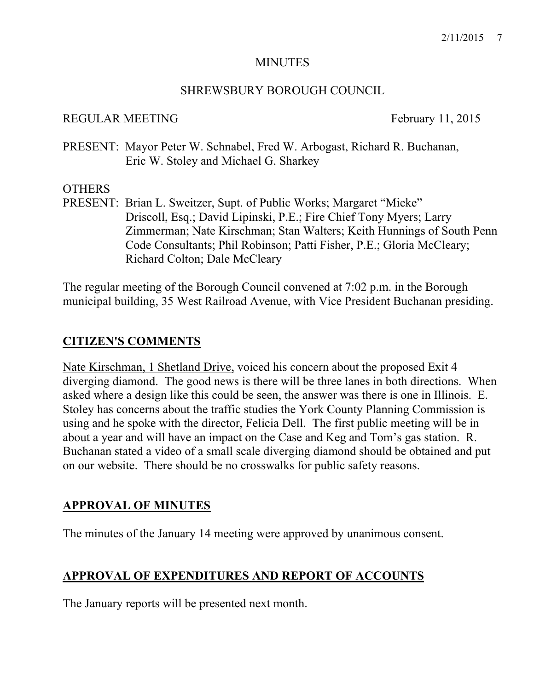#### **MINUTES**

#### SHREWSBURY BOROUGH COUNCIL

#### REGULAR MEETING February 11, 2015

PRESENT: Mayor Peter W. Schnabel, Fred W. Arbogast, Richard R. Buchanan, Eric W. Stoley and Michael G. Sharkey

#### OTHERS

PRESENT: Brian L. Sweitzer, Supt. of Public Works; Margaret "Mieke" Driscoll, Esq.; David Lipinski, P.E.; Fire Chief Tony Myers; Larry Zimmerman; Nate Kirschman; Stan Walters; Keith Hunnings of South Penn Code Consultants; Phil Robinson; Patti Fisher, P.E.; Gloria McCleary; Richard Colton; Dale McCleary

The regular meeting of the Borough Council convened at 7:02 p.m. in the Borough municipal building, 35 West Railroad Avenue, with Vice President Buchanan presiding.

## **CITIZEN'S COMMENTS**

Nate Kirschman, 1 Shetland Drive, voiced his concern about the proposed Exit 4 diverging diamond. The good news is there will be three lanes in both directions. When asked where a design like this could be seen, the answer was there is one in Illinois. E. Stoley has concerns about the traffic studies the York County Planning Commission is using and he spoke with the director, Felicia Dell. The first public meeting will be in about a year and will have an impact on the Case and Keg and Tom's gas station. R. Buchanan stated a video of a small scale diverging diamond should be obtained and put on our website. There should be no crosswalks for public safety reasons.

## **APPROVAL OF MINUTES**

The minutes of the January 14 meeting were approved by unanimous consent.

## **APPROVAL OF EXPENDITURES AND REPORT OF ACCOUNTS**

The January reports will be presented next month.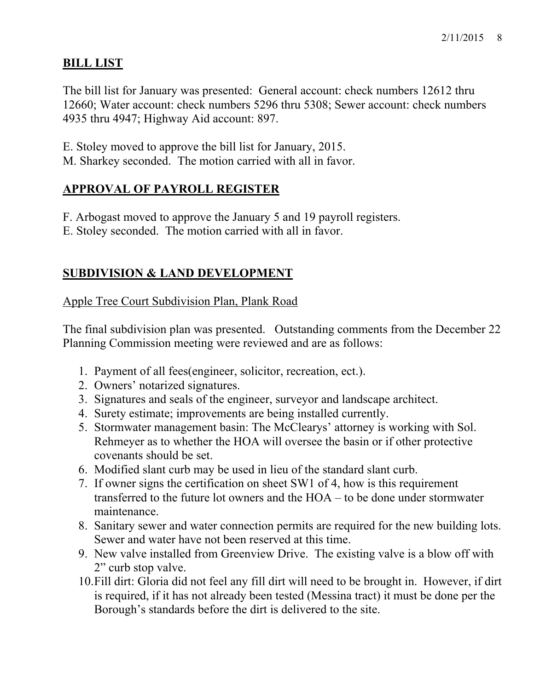## **BILL LIST**

The bill list for January was presented: General account: check numbers 12612 thru 12660; Water account: check numbers 5296 thru 5308; Sewer account: check numbers 4935 thru 4947; Highway Aid account: 897.

- E. Stoley moved to approve the bill list for January, 2015.
- M. Sharkey seconded. The motion carried with all in favor.

# **APPROVAL OF PAYROLL REGISTER**

F. Arbogast moved to approve the January 5 and 19 payroll registers.

E. Stoley seconded. The motion carried with all in favor.

# **SUBDIVISION & LAND DEVELOPMENT**

## Apple Tree Court Subdivision Plan, Plank Road

The final subdivision plan was presented. Outstanding comments from the December 22 Planning Commission meeting were reviewed and are as follows:

- 1. Payment of all fees(engineer, solicitor, recreation, ect.).
- 2. Owners' notarized signatures.
- 3. Signatures and seals of the engineer, surveyor and landscape architect.
- 4. Surety estimate; improvements are being installed currently.
- 5. Stormwater management basin: The McClearys' attorney is working with Sol. Rehmeyer as to whether the HOA will oversee the basin or if other protective covenants should be set.
- 6. Modified slant curb may be used in lieu of the standard slant curb.
- 7. If owner signs the certification on sheet SW1 of 4, how is this requirement transferred to the future lot owners and the HOA – to be done under stormwater maintenance.
- 8. Sanitary sewer and water connection permits are required for the new building lots. Sewer and water have not been reserved at this time.
- 9. New valve installed from Greenview Drive. The existing valve is a blow off with 2" curb stop valve.
- 10.Fill dirt: Gloria did not feel any fill dirt will need to be brought in. However, if dirt is required, if it has not already been tested (Messina tract) it must be done per the Borough's standards before the dirt is delivered to the site.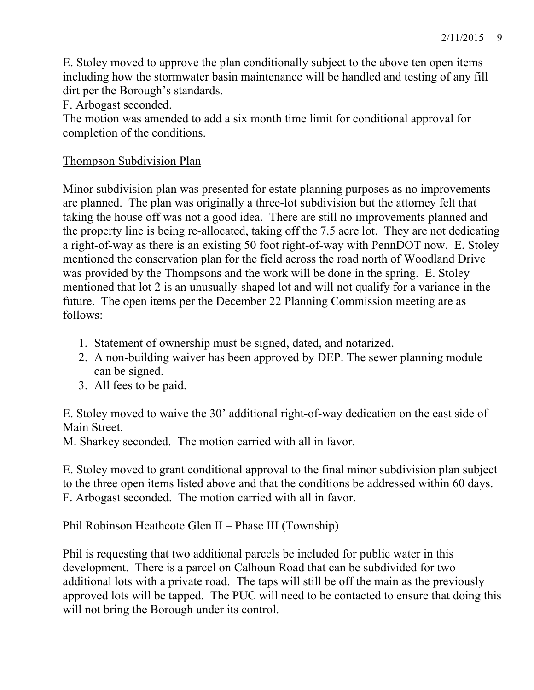E. Stoley moved to approve the plan conditionally subject to the above ten open items including how the stormwater basin maintenance will be handled and testing of any fill dirt per the Borough's standards.

F. Arbogast seconded.

The motion was amended to add a six month time limit for conditional approval for completion of the conditions.

#### Thompson Subdivision Plan

Minor subdivision plan was presented for estate planning purposes as no improvements are planned. The plan was originally a three-lot subdivision but the attorney felt that taking the house off was not a good idea. There are still no improvements planned and the property line is being re-allocated, taking off the 7.5 acre lot. They are not dedicating a right-of-way as there is an existing 50 foot right-of-way with PennDOT now. E. Stoley mentioned the conservation plan for the field across the road north of Woodland Drive was provided by the Thompsons and the work will be done in the spring. E. Stoley mentioned that lot 2 is an unusually-shaped lot and will not qualify for a variance in the future. The open items per the December 22 Planning Commission meeting are as follows:

- 1. Statement of ownership must be signed, dated, and notarized.
- 2. A non-building waiver has been approved by DEP. The sewer planning module can be signed.
- 3. All fees to be paid.

E. Stoley moved to waive the 30' additional right-of-way dedication on the east side of Main Street.

M. Sharkey seconded. The motion carried with all in favor.

E. Stoley moved to grant conditional approval to the final minor subdivision plan subject to the three open items listed above and that the conditions be addressed within 60 days. F. Arbogast seconded. The motion carried with all in favor.

#### Phil Robinson Heathcote Glen II – Phase III (Township)

Phil is requesting that two additional parcels be included for public water in this development. There is a parcel on Calhoun Road that can be subdivided for two additional lots with a private road. The taps will still be off the main as the previously approved lots will be tapped. The PUC will need to be contacted to ensure that doing this will not bring the Borough under its control.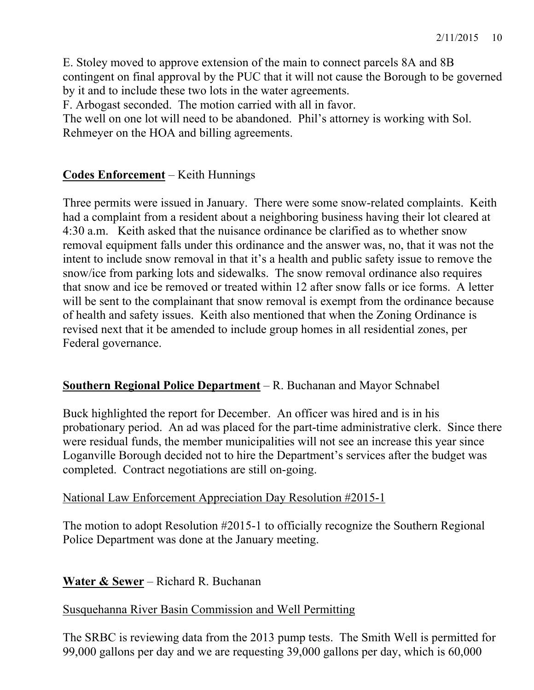E. Stoley moved to approve extension of the main to connect parcels 8A and 8B contingent on final approval by the PUC that it will not cause the Borough to be governed by it and to include these two lots in the water agreements.

F. Arbogast seconded. The motion carried with all in favor.

The well on one lot will need to be abandoned. Phil's attorney is working with Sol. Rehmeyer on the HOA and billing agreements.

## **Codes Enforcement** – Keith Hunnings

Three permits were issued in January. There were some snow-related complaints. Keith had a complaint from a resident about a neighboring business having their lot cleared at 4:30 a.m. Keith asked that the nuisance ordinance be clarified as to whether snow removal equipment falls under this ordinance and the answer was, no, that it was not the intent to include snow removal in that it's a health and public safety issue to remove the snow/ice from parking lots and sidewalks. The snow removal ordinance also requires that snow and ice be removed or treated within 12 after snow falls or ice forms. A letter will be sent to the complainant that snow removal is exempt from the ordinance because of health and safety issues. Keith also mentioned that when the Zoning Ordinance is revised next that it be amended to include group homes in all residential zones, per Federal governance.

#### **Southern Regional Police Department** – R. Buchanan and Mayor Schnabel

Buck highlighted the report for December. An officer was hired and is in his probationary period. An ad was placed for the part-time administrative clerk. Since there were residual funds, the member municipalities will not see an increase this year since Loganville Borough decided not to hire the Department's services after the budget was completed. Contract negotiations are still on-going.

#### National Law Enforcement Appreciation Day Resolution #2015-1

The motion to adopt Resolution #2015-1 to officially recognize the Southern Regional Police Department was done at the January meeting.

#### **Water & Sewer** – Richard R. Buchanan

#### Susquehanna River Basin Commission and Well Permitting

The SRBC is reviewing data from the 2013 pump tests. The Smith Well is permitted for 99,000 gallons per day and we are requesting 39,000 gallons per day, which is 60,000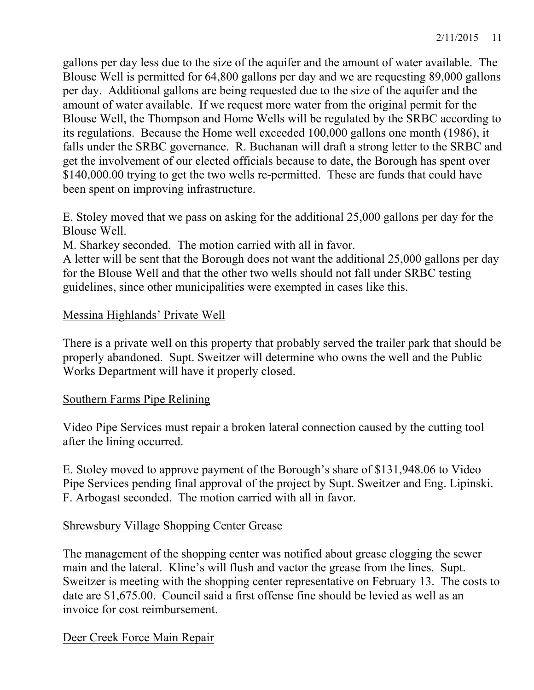gallons per day less due to the size of the aquifer and the amount of water available. The Blouse Well is permitted for 64,800 gallons per day and we are requesting 89,000 gallons per day. Additional gallons are being requested due to the size of the aquifer and the amount of water available. If we request more water from the original permit for the Blouse Well, the Thompson and Home Wells will be regulated by the SRBC according to its regulations. Because the Home well exceeded 100,000 gallons one month (1986), it falls under the SRBC governance. R. Buchanan will draft a strong letter to the SRBC and get the involvement of our elected officials because to date, the Borough has spent over \$140,000.00 trying to get the two wells re-permitted. These are funds that could have been spent on improving infrastructure.

E. Stoley moved that we pass on asking for the additional 25,000 gallons per day for the Blouse Well.

M. Sharkey seconded. The motion carried with all in favor.

A letter will be sent that the Borough does not want the additional 25,000 gallons per day for the Blouse Well and that the other two wells should not fall under SRBC testing guidelines, since other municipalities were exempted in cases like this.

### Messina Highlands' Private Well

There is a private well on this property that probably served the trailer park that should be properly abandoned. Supt. Sweitzer will determine who owns the well and the Public Works Department will have it properly closed.

#### Southern Farms Pipe Relining

Video Pipe Services must repair a broken lateral connection caused by the cutting tool after the lining occurred.

E. Stoley moved to approve payment of the Borough's share of \$131,948.06 to Video Pipe Services pending final approval of the project by Supt. Sweitzer and Eng. Lipinski. F. Arbogast seconded. The motion carried with all in favor.

#### Shrewsbury Village Shopping Center Grease

The management of the shopping center was notified about grease clogging the sewer main and the lateral. Kline's will flush and vactor the grease from the lines. Supt. Sweitzer is meeting with the shopping center representative on February 13. The costs to date are \$1,675.00. Council said a first offense fine should be levied as well as an invoice for cost reimbursement.

Deer Creek Force Main Repair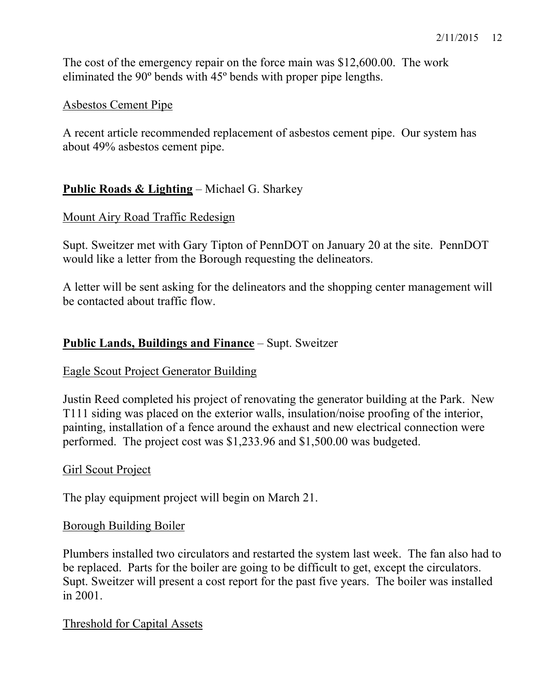The cost of the emergency repair on the force main was \$12,600.00. The work eliminated the 90º bends with 45º bends with proper pipe lengths.

### Asbestos Cement Pipe

A recent article recommended replacement of asbestos cement pipe. Our system has about 49% asbestos cement pipe.

## **Public Roads & Lighting** – Michael G. Sharkey

#### Mount Airy Road Traffic Redesign

Supt. Sweitzer met with Gary Tipton of PennDOT on January 20 at the site. PennDOT would like a letter from the Borough requesting the delineators.

A letter will be sent asking for the delineators and the shopping center management will be contacted about traffic flow.

## **Public Lands, Buildings and Finance** – Supt. Sweitzer

#### Eagle Scout Project Generator Building

Justin Reed completed his project of renovating the generator building at the Park. New T111 siding was placed on the exterior walls, insulation/noise proofing of the interior, painting, installation of a fence around the exhaust and new electrical connection were performed. The project cost was \$1,233.96 and \$1,500.00 was budgeted.

#### Girl Scout Project

The play equipment project will begin on March 21.

#### Borough Building Boiler

Plumbers installed two circulators and restarted the system last week. The fan also had to be replaced. Parts for the boiler are going to be difficult to get, except the circulators. Supt. Sweitzer will present a cost report for the past five years. The boiler was installed in 2001.

#### Threshold for Capital Assets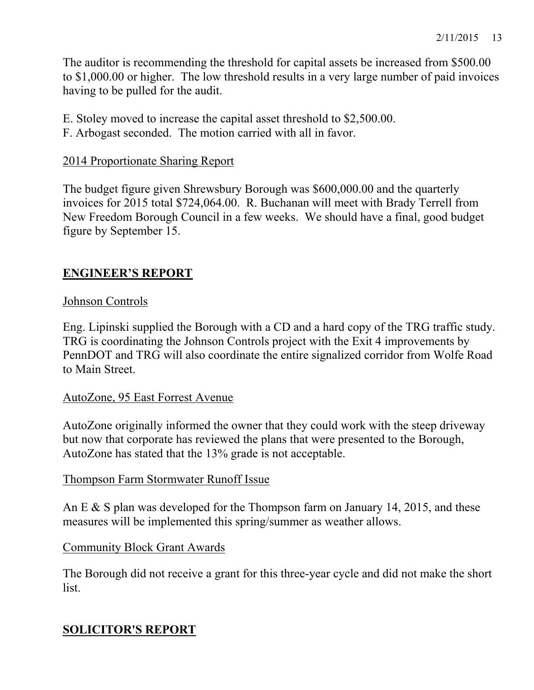The auditor is recommending the threshold for capital assets be increased from \$500.00 to \$1,000.00 or higher. The low threshold results in a very large number of paid invoices having to be pulled for the audit.

- E. Stoley moved to increase the capital asset threshold to \$2,500.00.
- F. Arbogast seconded. The motion carried with all in favor.

#### 2014 Proportionate Sharing Report

The budget figure given Shrewsbury Borough was \$600,000.00 and the quarterly invoices for 2015 total \$724,064.00. R. Buchanan will meet with Brady Terrell from New Freedom Borough Council in a few weeks. We should have a final, good budget figure by September 15.

## **ENGINEER'S REPORT**

#### Johnson Controls

Eng. Lipinski supplied the Borough with a CD and a hard copy of the TRG traffic study. TRG is coordinating the Johnson Controls project with the Exit 4 improvements by PennDOT and TRG will also coordinate the entire signalized corridor from Wolfe Road to Main Street.

#### AutoZone, 95 East Forrest Avenue

AutoZone originally informed the owner that they could work with the steep driveway but now that corporate has reviewed the plans that were presented to the Borough, AutoZone has stated that the 13% grade is not acceptable.

#### Thompson Farm Stormwater Runoff Issue

An E & S plan was developed for the Thompson farm on January 14, 2015, and these measures will be implemented this spring/summer as weather allows.

#### Community Block Grant Awards

The Borough did not receive a grant for this three-year cycle and did not make the short list.

## **SOLICITOR'S REPORT**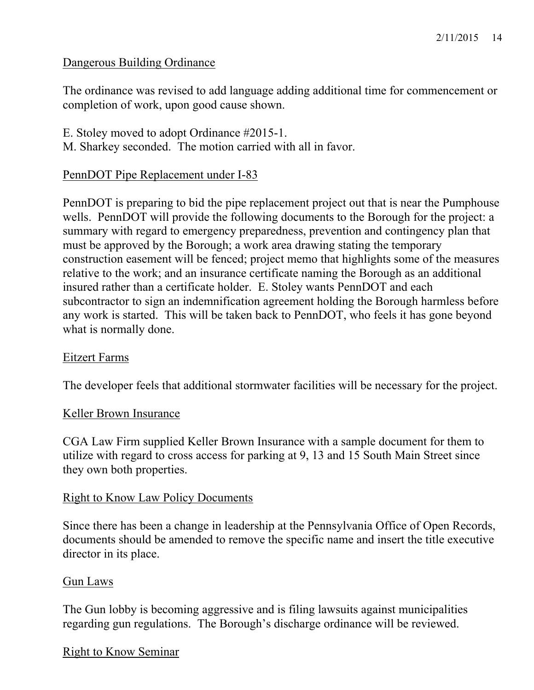## Dangerous Building Ordinance

The ordinance was revised to add language adding additional time for commencement or completion of work, upon good cause shown.

E. Stoley moved to adopt Ordinance #2015-1. M. Sharkey seconded. The motion carried with all in favor.

### PennDOT Pipe Replacement under I-83

PennDOT is preparing to bid the pipe replacement project out that is near the Pumphouse wells. PennDOT will provide the following documents to the Borough for the project: a summary with regard to emergency preparedness, prevention and contingency plan that must be approved by the Borough; a work area drawing stating the temporary construction easement will be fenced; project memo that highlights some of the measures relative to the work; and an insurance certificate naming the Borough as an additional insured rather than a certificate holder. E. Stoley wants PennDOT and each subcontractor to sign an indemnification agreement holding the Borough harmless before any work is started. This will be taken back to PennDOT, who feels it has gone beyond what is normally done.

#### Eitzert Farms

The developer feels that additional stormwater facilities will be necessary for the project.

#### Keller Brown Insurance

CGA Law Firm supplied Keller Brown Insurance with a sample document for them to utilize with regard to cross access for parking at 9, 13 and 15 South Main Street since they own both properties.

#### Right to Know Law Policy Documents

Since there has been a change in leadership at the Pennsylvania Office of Open Records, documents should be amended to remove the specific name and insert the title executive director in its place.

#### Gun Laws

The Gun lobby is becoming aggressive and is filing lawsuits against municipalities regarding gun regulations. The Borough's discharge ordinance will be reviewed.

#### Right to Know Seminar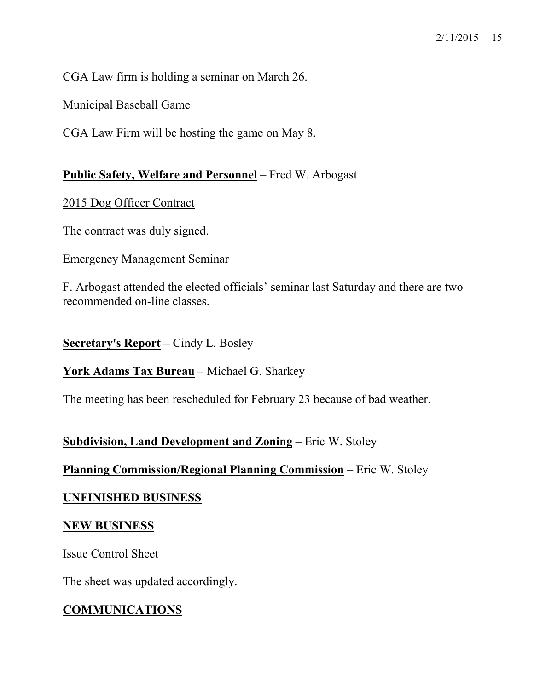CGA Law firm is holding a seminar on March 26.

Municipal Baseball Game

CGA Law Firm will be hosting the game on May 8.

### **Public Safety, Welfare and Personnel** – Fred W. Arbogast

2015 Dog Officer Contract

The contract was duly signed.

#### Emergency Management Seminar

F. Arbogast attended the elected officials' seminar last Saturday and there are two recommended on-line classes.

**Secretary's Report** – Cindy L. Bosley

**York Adams Tax Bureau** – Michael G. Sharkey

The meeting has been rescheduled for February 23 because of bad weather.

## **Subdivision, Land Development and Zoning** – Eric W. Stoley

## **Planning Commission/Regional Planning Commission** – Eric W. Stoley

## **UNFINISHED BUSINESS**

#### **NEW BUSINESS**

Issue Control Sheet

The sheet was updated accordingly.

## **COMMUNICATIONS**